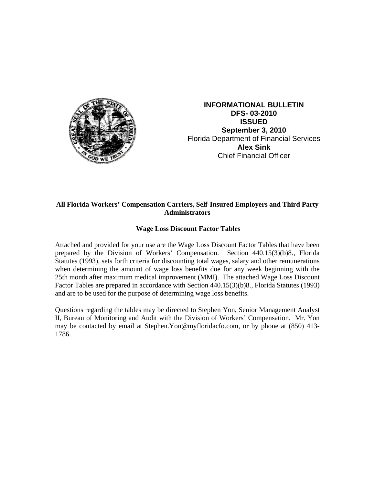

**INFORMATIONAL BULLETIN DFS- 03-2010 ISSUED September 3, 2010**  Florida Department of Financial Services **Alex Sink** Chief Financial Officer

## **All Florida Workers' Compensation Carriers, Self-Insured Employers and Third Party Administrators**

## **Wage Loss Discount Factor Tables**

Attached and provided for your use are the Wage Loss Discount Factor Tables that have been prepared by the Division of Workers' Compensation. Section 440.15(3)(b)8., Florida Statutes (1993), sets forth criteria for discounting total wages, salary and other remunerations when determining the amount of wage loss benefits due for any week beginning with the 25th month after maximum medical improvement (MMI). The attached Wage Loss Discount Factor Tables are prepared in accordance with Section 440.15(3)(b)8., Florida Statutes (1993) and are to be used for the purpose of determining wage loss benefits.

Questions regarding the tables may be directed to Stephen Yon, Senior Management Analyst II, Bureau of Monitoring and Audit with the Division of Workers' Compensation. Mr. Yon may be contacted by email at Stephen.Yon@myfloridacfo.com, or by phone at (850) 413- 1786.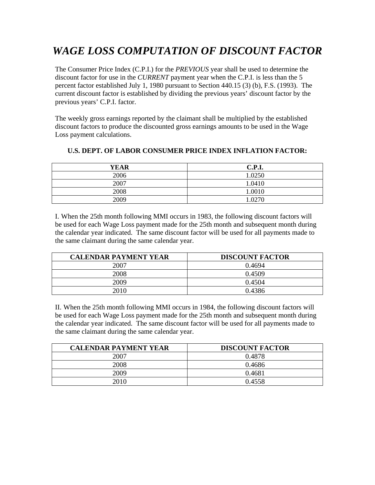## *WAGE LOSS COMPUTATION OF DISCOUNT FACTOR*

The Consumer Price Index (C.P.I.) for the *PREVIOUS* year shall be used to determine the discount factor for use in the *CURRENT* payment year when the C.P.I. is less than the 5 percent factor established July 1, 1980 pursuant to Section 440.15 (3) (b), F.S. (1993). The current discount factor is established by dividing the previous years' discount factor by the previous years' C.P.I. factor.

The weekly gross earnings reported by the claimant shall be multiplied by the established discount factors to produce the discounted gross earnings amounts to be used in the Wage Loss payment calculations.

| <b>YEAR</b> | <b>C.P.I.</b> |
|-------------|---------------|
| 2006        | 1.0250        |
| 2007        | 1.0410        |
| 2008        | 1.0010        |
| 2009        | 1.027c        |

## **U.S. DEPT. OF LABOR CONSUMER PRICE INDEX INFLATION FACTOR:**

I. When the 25th month following MMI occurs in 1983, the following discount factors will be used for each Wage Loss payment made for the 25th month and subsequent month during the calendar year indicated. The same discount factor will be used for all payments made to the same claimant during the same calendar year.

| <b>CALENDAR PAYMENT YEAR</b> | <b>DISCOUNT FACTOR</b> |
|------------------------------|------------------------|
| 2007                         | 0.4694                 |
| 2008                         | 0.4509                 |
| 2009                         | 0.4504                 |
| 2010                         | 0.4386                 |

II. When the 25th month following MMI occurs in 1984, the following discount factors will be used for each Wage Loss payment made for the 25th month and subsequent month during the calendar year indicated. The same discount factor will be used for all payments made to the same claimant during the same calendar year.

| <b>CALENDAR PAYMENT YEAR</b> | <b>DISCOUNT FACTOR</b> |
|------------------------------|------------------------|
| 2007                         | 0.4878                 |
| 2008                         | 0.4686                 |
| 2009                         | 0.4681                 |
| 2010                         | 0.4558                 |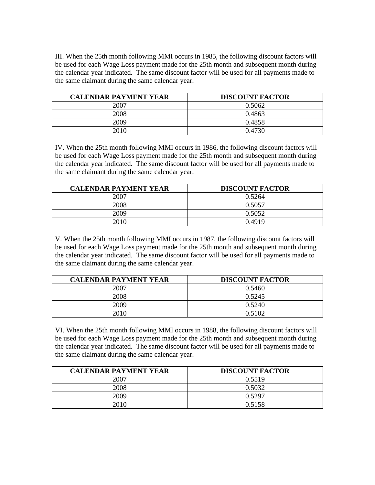III. When the 25th month following MMI occurs in 1985, the following discount factors will be used for each Wage Loss payment made for the 25th month and subsequent month during the calendar year indicated. The same discount factor will be used for all payments made to the same claimant during the same calendar year.

| <b>CALENDAR PAYMENT YEAR</b> | <b>DISCOUNT FACTOR</b> |
|------------------------------|------------------------|
| 2007                         | 0.5062                 |
| 2008                         | 0.4863                 |
| 2009                         | 0.4858                 |
| 2010                         | 0.4730                 |

IV. When the 25th month following MMI occurs in 1986, the following discount factors will be used for each Wage Loss payment made for the 25th month and subsequent month during the calendar year indicated. The same discount factor will be used for all payments made to the same claimant during the same calendar year.

| <b>CALENDAR PAYMENT YEAR</b> | <b>DISCOUNT FACTOR</b> |
|------------------------------|------------------------|
| 2007                         | 0.5264                 |
| 2008                         | 0.5057                 |
| 2009                         | 0.5052                 |
| 2010                         | 0.4919                 |

V. When the 25th month following MMI occurs in 1987, the following discount factors will be used for each Wage Loss payment made for the 25th month and subsequent month during the calendar year indicated. The same discount factor will be used for all payments made to the same claimant during the same calendar year.

| <b>CALENDAR PAYMENT YEAR</b> | <b>DISCOUNT FACTOR</b> |
|------------------------------|------------------------|
| 2007                         | 0.5460                 |
| 2008                         | 0.5245                 |
| 2009                         | 0.5240                 |
| 2010                         | 0.5102                 |

VI. When the 25th month following MMI occurs in 1988, the following discount factors will be used for each Wage Loss payment made for the 25th month and subsequent month during the calendar year indicated. The same discount factor will be used for all payments made to the same claimant during the same calendar year.

| <b>CALENDAR PAYMENT YEAR</b> | <b>DISCOUNT FACTOR</b> |
|------------------------------|------------------------|
| 2007                         | 0.5519                 |
| 2008                         | 0.5032                 |
| 2009                         | 0.5297                 |
| 2010                         | 0.5158                 |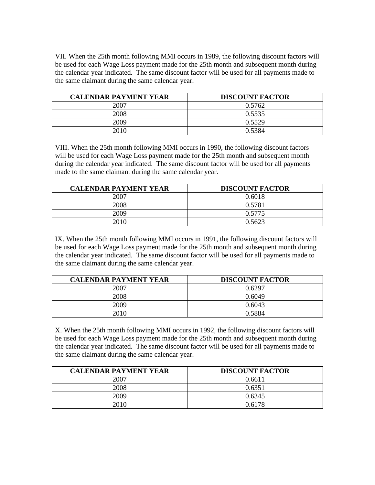VII. When the 25th month following MMI occurs in 1989, the following discount factors will be used for each Wage Loss payment made for the 25th month and subsequent month during the calendar year indicated. The same discount factor will be used for all payments made to the same claimant during the same calendar year.

| <b>CALENDAR PAYMENT YEAR</b> | <b>DISCOUNT FACTOR</b> |
|------------------------------|------------------------|
| 2007                         | 0.5762                 |
| 2008                         | 0.5535                 |
| 2009                         | 0.5529                 |
| 2010                         | 0.5384                 |

VIII. When the 25th month following MMI occurs in 1990, the following discount factors will be used for each Wage Loss payment made for the 25th month and subsequent month during the calendar year indicated. The same discount factor will be used for all payments made to the same claimant during the same calendar year.

| <b>CALENDAR PAYMENT YEAR</b> | <b>DISCOUNT FACTOR</b> |
|------------------------------|------------------------|
| 2007                         | 0.6018                 |
| 2008                         | 0.5781                 |
| 2009                         | 0.5775                 |
| 2010                         | 0.5623                 |

IX. When the 25th month following MMI occurs in 1991, the following discount factors will be used for each Wage Loss payment made for the 25th month and subsequent month during the calendar year indicated. The same discount factor will be used for all payments made to the same claimant during the same calendar year.

| <b>CALENDAR PAYMENT YEAR</b> | <b>DISCOUNT FACTOR</b> |
|------------------------------|------------------------|
| 2007                         | 0.6297                 |
| 2008                         | 0.6049                 |
| 2009                         | 0.6043                 |
| 2010                         | 0.5884                 |

X. When the 25th month following MMI occurs in 1992, the following discount factors will be used for each Wage Loss payment made for the 25th month and subsequent month during the calendar year indicated. The same discount factor will be used for all payments made to the same claimant during the same calendar year.

| <b>CALENDAR PAYMENT YEAR</b> | <b>DISCOUNT FACTOR</b> |
|------------------------------|------------------------|
| 2007                         | 0.6611                 |
| 2008                         | 0.6351                 |
| 2009                         | 0.6345                 |
| 2010                         | 0.6178                 |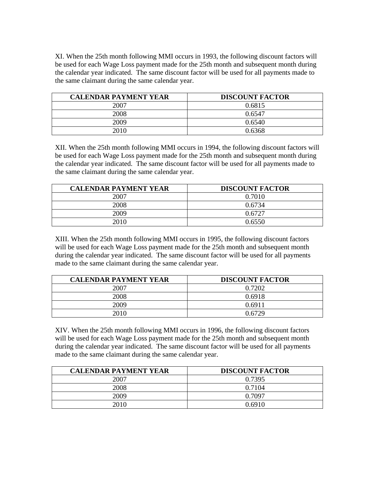XI. When the 25th month following MMI occurs in 1993, the following discount factors will be used for each Wage Loss payment made for the 25th month and subsequent month during the calendar year indicated. The same discount factor will be used for all payments made to the same claimant during the same calendar year.

| <b>CALENDAR PAYMENT YEAR</b> | <b>DISCOUNT FACTOR</b> |
|------------------------------|------------------------|
| 2007                         | 0.6815                 |
| 2008                         | 0.6547                 |
| 2009                         | 0.6540                 |
| 2010                         | 0.6368                 |

XII. When the 25th month following MMI occurs in 1994, the following discount factors will be used for each Wage Loss payment made for the 25th month and subsequent month during the calendar year indicated. The same discount factor will be used for all payments made to the same claimant during the same calendar year.

| <b>CALENDAR PAYMENT YEAR</b> | <b>DISCOUNT FACTOR</b> |
|------------------------------|------------------------|
| 2007                         | 0.7010                 |
| 2008                         | 0.6734                 |
| 2009                         | 0.6727                 |
| 2010                         | 0.6550                 |

XIII. When the 25th month following MMI occurs in 1995, the following discount factors will be used for each Wage Loss payment made for the 25th month and subsequent month during the calendar year indicated. The same discount factor will be used for all payments made to the same claimant during the same calendar year.

| <b>CALENDAR PAYMENT YEAR</b> | <b>DISCOUNT FACTOR</b> |
|------------------------------|------------------------|
| 2007                         | 0.7202                 |
| 2008                         | 0.6918                 |
| 2009                         | 0.6911                 |
| 2010                         | 0.6729                 |

XIV. When the 25th month following MMI occurs in 1996, the following discount factors will be used for each Wage Loss payment made for the 25th month and subsequent month during the calendar year indicated. The same discount factor will be used for all payments made to the same claimant during the same calendar year.

| <b>CALENDAR PAYMENT YEAR</b> | <b>DISCOUNT FACTOR</b> |
|------------------------------|------------------------|
| 2007                         | 0.7395                 |
| 2008                         | 0.7104                 |
| 2009                         | 0.7097                 |
| 2010                         | 0.6910                 |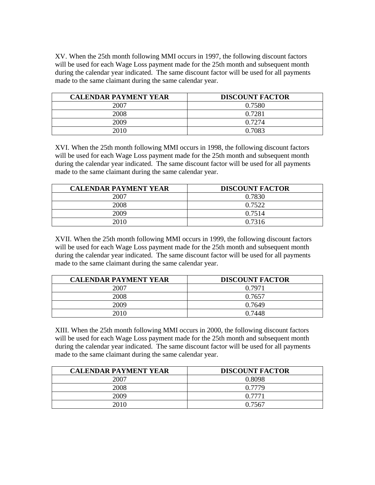XV. When the 25th month following MMI occurs in 1997, the following discount factors will be used for each Wage Loss payment made for the 25th month and subsequent month during the calendar year indicated. The same discount factor will be used for all payments made to the same claimant during the same calendar year.

| <b>CALENDAR PAYMENT YEAR</b> | <b>DISCOUNT FACTOR</b> |
|------------------------------|------------------------|
| 2007                         | 0.7580                 |
| 2008                         | 0.7281                 |
| 2009                         | 0.7274                 |
| 2010                         | 0.7083                 |

XVI. When the 25th month following MMI occurs in 1998, the following discount factors will be used for each Wage Loss payment made for the 25th month and subsequent month during the calendar year indicated. The same discount factor will be used for all payments made to the same claimant during the same calendar year.

| <b>CALENDAR PAYMENT YEAR</b> | <b>DISCOUNT FACTOR</b> |
|------------------------------|------------------------|
| 2007                         | 0.7830                 |
| 2008                         | 0.7522                 |
| 2009                         | 0.7514                 |
| 2010                         | 0.7316                 |

XVII. When the 25th month following MMI occurs in 1999, the following discount factors will be used for each Wage Loss payment made for the 25th month and subsequent month during the calendar year indicated. The same discount factor will be used for all payments made to the same claimant during the same calendar year.

| <b>CALENDAR PAYMENT YEAR</b> | <b>DISCOUNT FACTOR</b> |
|------------------------------|------------------------|
| 2007                         | 0.7971                 |
| 2008                         | 0.7657                 |
| 2009                         | 0.7649                 |
| 2010                         | 0.7448                 |

XIII. When the 25th month following MMI occurs in 2000, the following discount factors will be used for each Wage Loss payment made for the 25th month and subsequent month during the calendar year indicated. The same discount factor will be used for all payments made to the same claimant during the same calendar year.

| <b>CALENDAR PAYMENT YEAR</b> | <b>DISCOUNT FACTOR</b> |
|------------------------------|------------------------|
| 2007                         | 0.8098                 |
| 2008                         | 0.7779                 |
| 2009                         | 0.7771                 |
| 2010                         | 0.7567                 |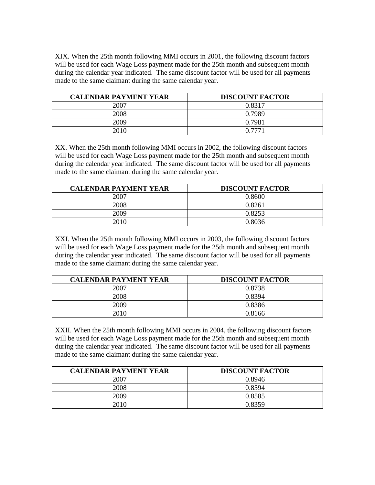XIX. When the 25th month following MMI occurs in 2001, the following discount factors will be used for each Wage Loss payment made for the 25th month and subsequent month during the calendar year indicated. The same discount factor will be used for all payments made to the same claimant during the same calendar year.

| <b>CALENDAR PAYMENT YEAR</b> | <b>DISCOUNT FACTOR</b> |
|------------------------------|------------------------|
| 2007                         | 0.8317                 |
| 2008                         | 0.7989                 |
| 2009                         | 0.7981                 |
| 2010                         | በ 7771                 |

XX. When the 25th month following MMI occurs in 2002, the following discount factors will be used for each Wage Loss payment made for the 25th month and subsequent month during the calendar year indicated. The same discount factor will be used for all payments made to the same claimant during the same calendar year.

| <b>CALENDAR PAYMENT YEAR</b> | <b>DISCOUNT FACTOR</b> |
|------------------------------|------------------------|
| 2007                         | 0.8600                 |
| 2008                         | 0.8261                 |
| 2009                         | 0.8253                 |
| 2010                         | 0.8036                 |

XXI. When the 25th month following MMI occurs in 2003, the following discount factors will be used for each Wage Loss payment made for the 25th month and subsequent month during the calendar year indicated. The same discount factor will be used for all payments made to the same claimant during the same calendar year.

| <b>CALENDAR PAYMENT YEAR</b> | <b>DISCOUNT FACTOR</b> |
|------------------------------|------------------------|
| 2007                         | 0.8738                 |
| 2008                         | 0.8394                 |
| 2009                         | 0.8386                 |
| 2010                         | 0.8166                 |

XXII. When the 25th month following MMI occurs in 2004, the following discount factors will be used for each Wage Loss payment made for the 25th month and subsequent month during the calendar year indicated. The same discount factor will be used for all payments made to the same claimant during the same calendar year.

| <b>CALENDAR PAYMENT YEAR</b> | <b>DISCOUNT FACTOR</b> |
|------------------------------|------------------------|
| 2007                         | 0.8946                 |
| 2008                         | 0.8594                 |
| 2009                         | 0.8585                 |
| 2010                         | 0.8359                 |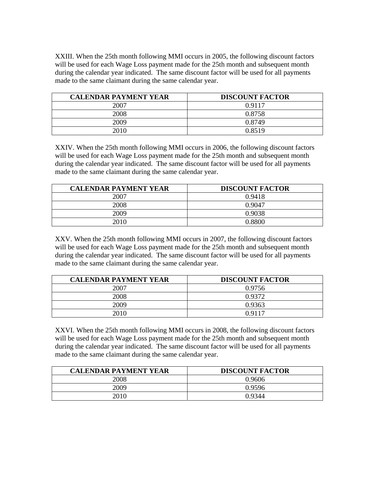XXIII. When the 25th month following MMI occurs in 2005, the following discount factors will be used for each Wage Loss payment made for the 25th month and subsequent month during the calendar year indicated. The same discount factor will be used for all payments made to the same claimant during the same calendar year.

| <b>CALENDAR PAYMENT YEAR</b> | <b>DISCOUNT FACTOR</b> |
|------------------------------|------------------------|
| 2007                         | 0.9117                 |
| 2008                         | 0.8758                 |
| 2009                         | 0.8749                 |
| 2010                         | 0.8519                 |

XXIV. When the 25th month following MMI occurs in 2006, the following discount factors will be used for each Wage Loss payment made for the 25th month and subsequent month during the calendar year indicated. The same discount factor will be used for all payments made to the same claimant during the same calendar year.

| <b>CALENDAR PAYMENT YEAR</b> | <b>DISCOUNT FACTOR</b> |
|------------------------------|------------------------|
| 2007                         | 0.9418                 |
| 2008                         | 0.9047                 |
| 2009                         | 0.9038                 |
| 2010                         | በ ՋՋበበ                 |

XXV. When the 25th month following MMI occurs in 2007, the following discount factors will be used for each Wage Loss payment made for the 25th month and subsequent month during the calendar year indicated. The same discount factor will be used for all payments made to the same claimant during the same calendar year.

| <b>CALENDAR PAYMENT YEAR</b> | <b>DISCOUNT FACTOR</b> |
|------------------------------|------------------------|
| 2007                         | 0.9756                 |
| 2008                         | 0.9372                 |
| 2009                         | 0.9363                 |
| 2010                         | 0.9117                 |

XXVI. When the 25th month following MMI occurs in 2008, the following discount factors will be used for each Wage Loss payment made for the 25th month and subsequent month during the calendar year indicated. The same discount factor will be used for all payments made to the same claimant during the same calendar year.

| <b>CALENDAR PAYMENT YEAR</b> | <b>DISCOUNT FACTOR</b> |
|------------------------------|------------------------|
| 2008                         | 0.9606                 |
| 2009                         | 0.9596                 |
| 2010                         | 0.9344                 |